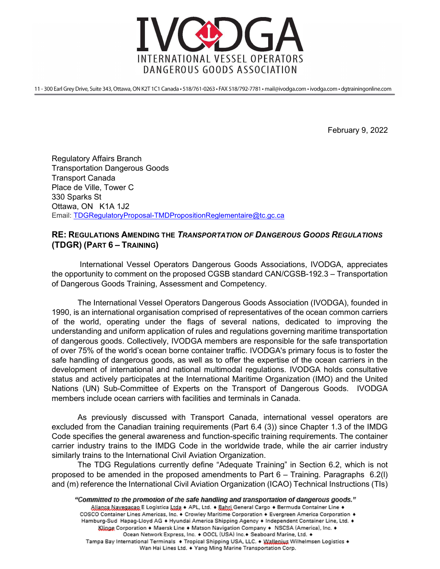

11 - 300 Earl Grey Drive, Suite 343, Ottawa, ON K2T 1C1 Canada · 518/761-0263 · FAX 518/792-7781 · mail@ivodga.com · ivodga.com · dgtrainingonline.com

February 9, 2022

Regulatory Affairs Branch Transportation Dangerous Goods Transport Canada Place de Ville, Tower C 330 Sparks St Ottawa, ON K1A 1J2 Email: TDGRegulatoryProposal-TMDPropositionReglementaire@tc.gc.ca

## RE: REGULATIONS AMENDING THE TRANSPORTATION OF DANGEROUS GOODS REGULATIONS (TDGR) (PART 6 – TRAINING)

 International Vessel Operators Dangerous Goods Associations, IVODGA, appreciates the opportunity to comment on the proposed CGSB standard CAN/CGSB-192.3 – Transportation of Dangerous Goods Training, Assessment and Competency.

The International Vessel Operators Dangerous Goods Association (IVODGA), founded in 1990, is an international organisation comprised of representatives of the ocean common carriers of the world, operating under the flags of several nations, dedicated to improving the understanding and uniform application of rules and regulations governing maritime transportation of dangerous goods. Collectively, IVODGA members are responsible for the safe transportation of over 75% of the world's ocean borne container traffic. IVODGA's primary focus is to foster the safe handling of dangerous goods, as well as to offer the expertise of the ocean carriers in the development of international and national multimodal regulations. IVODGA holds consultative status and actively participates at the International Maritime Organization (IMO) and the United Nations (UN) Sub-Committee of Experts on the Transport of Dangerous Goods. IVODGA members include ocean carriers with facilities and terminals in Canada.

As previously discussed with Transport Canada, international vessel operators are excluded from the Canadian training requirements (Part 6.4 (3)) since Chapter 1.3 of the IMDG Code specifies the general awareness and function-specific training requirements. The container carrier industry trains to the IMDG Code in the worldwide trade, while the air carrier industry similarly trains to the International Civil Aviation Organization.

The TDG Regulations currently define "Adequate Training" in Section 6.2, which is not proposed to be amended in the proposed amendments to Part 6 – Training. Paragraphs 6.2(l) and (m) reference the International Civil Aviation Organization (ICAO) Technical Instructions (TIs)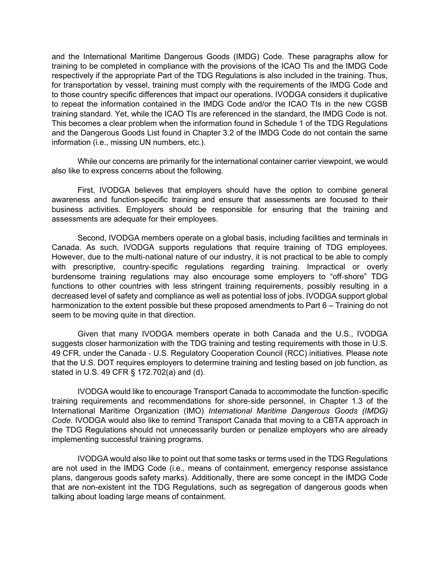and the International Maritime Dangerous Goods (IMDG) Code. These paragraphs allow for training to be completed in compliance with the provisions of the ICAO TIs and the IMDG Code respectively if the appropriate Part of the TDG Regulations is also included in the training. Thus, for transportation by vessel, training must comply with the requirements of the IMDG Code and to those country specific differences that impact our operations. IVODGA considers it duplicative to repeat the information contained in the IMDG Code and/or the ICAO TIs in the new CGSB training standard. Yet, while the ICAO TIs are referenced in the standard, the IMDG Code is not. This becomes a clear problem when the information found in Schedule 1 of the TDG Regulations and the Dangerous Goods List found in Chapter 3.2 of the IMDG Code do not contain the same information (i.e., missing UN numbers, etc.).

While our concerns are primarily for the international container carrier viewpoint, we would also like to express concerns about the following.

First, IVODGA believes that employers should have the option to combine general awareness and function‐specific training and ensure that assessments are focused to their business activities. Employers should be responsible for ensuring that the training and assessments are adequate for their employees.

Second, IVODGA members operate on a global basis, including facilities and terminals in Canada. As such, IVODGA supports regulations that require training of TDG employees. However, due to the multi-national nature of our industry, it is not practical to be able to comply with prescriptive, country-specific regulations regarding training. Impractical or overly burdensome training regulations may also encourage some employers to "off‐shore" TDG functions to other countries with less stringent training requirements, possibly resulting in a decreased level of safety and compliance as well as potential loss of jobs. IVODGA support global harmonization to the extent possible but these proposed amendments to Part 6 – Training do not seem to be moving quite in that direction.

Given that many IVODGA members operate in both Canada and the U.S., IVODGA suggests closer harmonization with the TDG training and testing requirements with those in U.S. 49 CFR, under the Canada - U.S. Regulatory Cooperation Council (RCC) initiatives. Please note that the U.S. DOT requires employers to determine training and testing based on job function, as stated in U.S. 49 CFR § 172.702(a) and (d).

IVODGA would like to encourage Transport Canada to accommodate the function‐specific training requirements and recommendations for shore‐side personnel, in Chapter 1.3 of the International Maritime Organization (IMO) International Maritime Dangerous Goods (IMDG) Code. IVODGA would also like to remind Transport Canada that moving to a CBTA approach in the TDG Regulations should not unnecessarily burden or penalize employers who are already implementing successful training programs.

IVODGA would also like to point out that some tasks or terms used in the TDG Regulations are not used in the IMDG Code (i.e., means of containment, emergency response assistance plans, dangerous goods safety marks). Additionally, there are some concept in the IMDG Code that are non-existent int the TDG Regulations, such as segregation of dangerous goods when talking about loading large means of containment.